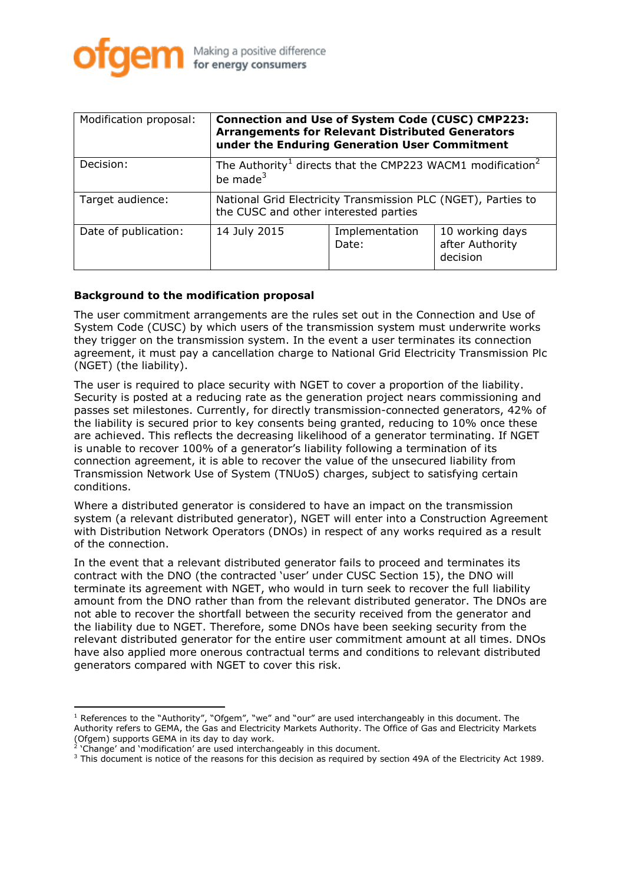

| Modification proposal: | <b>Connection and Use of System Code (CUSC) CMP223:</b><br><b>Arrangements for Relevant Distributed Generators</b><br>under the Enduring Generation User Commitment |                         |                                                |
|------------------------|---------------------------------------------------------------------------------------------------------------------------------------------------------------------|-------------------------|------------------------------------------------|
| Decision:              | The Authority <sup>1</sup> directs that the CMP223 WACM1 modification <sup>2</sup><br>be made $3$                                                                   |                         |                                                |
| Target audience:       | National Grid Electricity Transmission PLC (NGET), Parties to<br>the CUSC and other interested parties                                                              |                         |                                                |
| Date of publication:   | 14 July 2015                                                                                                                                                        | Implementation<br>Date: | 10 working days<br>after Authority<br>decision |

## **Background to the modification proposal**

The user commitment arrangements are the rules set out in the Connection and Use of System Code (CUSC) by which users of the transmission system must underwrite works they trigger on the transmission system. In the event a user terminates its connection agreement, it must pay a cancellation charge to National Grid Electricity Transmission Plc (NGET) (the liability).

The user is required to place security with NGET to cover a proportion of the liability. Security is posted at a reducing rate as the generation project nears commissioning and passes set milestones. Currently, for directly transmission-connected generators, 42% of the liability is secured prior to key consents being granted, reducing to 10% once these are achieved. This reflects the decreasing likelihood of a generator terminating. If NGET is unable to recover 100% of a generator's liability following a termination of its connection agreement, it is able to recover the value of the unsecured liability from Transmission Network Use of System (TNUoS) charges, subject to satisfying certain conditions.

Where a distributed generator is considered to have an impact on the transmission system (a relevant distributed generator), NGET will enter into a Construction Agreement with Distribution Network Operators (DNOs) in respect of any works required as a result of the connection.

In the event that a relevant distributed generator fails to proceed and terminates its contract with the DNO (the contracted 'user' under CUSC Section 15), the DNO will terminate its agreement with NGET, who would in turn seek to recover the full liability amount from the DNO rather than from the relevant distributed generator. The DNOs are not able to recover the shortfall between the security received from the generator and the liability due to NGET. Therefore, some DNOs have been seeking security from the relevant distributed generator for the entire user commitment amount at all times. DNOs have also applied more onerous contractual terms and conditions to relevant distributed generators compared with NGET to cover this risk.

<sup>&</sup>lt;sup>1</sup> References to the "Authority", "Ofgem", "we" and "our" are used interchangeably in this document. The Authority refers to GEMA, the Gas and Electricity Markets Authority. The Office of Gas and Electricity Markets (Ofgem) supports GEMA in its day to day work.

<sup>2</sup> 'Change' and 'modification' are used interchangeably in this document.

 $3$  This document is notice of the reasons for this decision as required by section 49A of the Electricity Act 1989.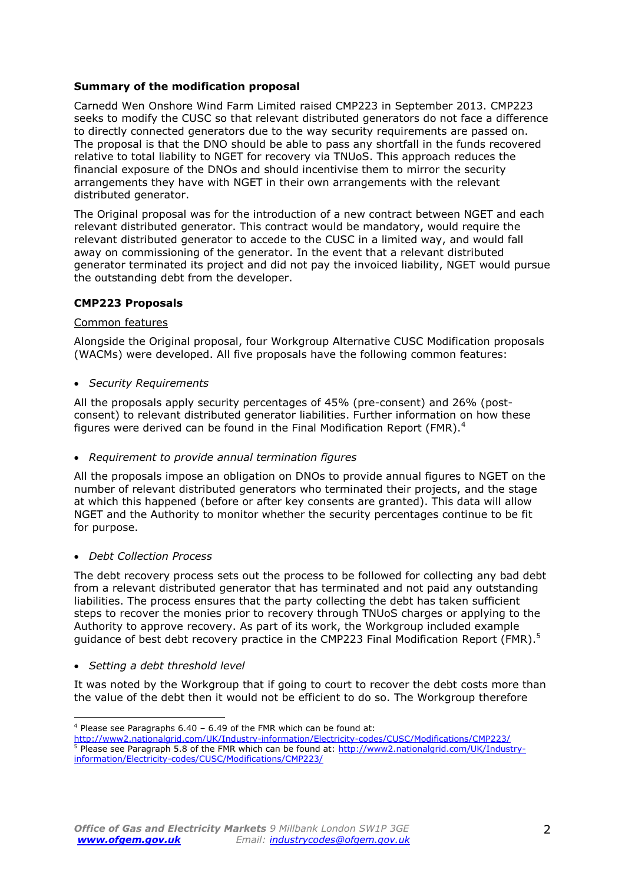## **Summary of the modification proposal**

Carnedd Wen Onshore Wind Farm Limited raised CMP223 in September 2013. CMP223 seeks to modify the CUSC so that relevant distributed generators do not face a difference to directly connected generators due to the way security requirements are passed on. The proposal is that the DNO should be able to pass any shortfall in the funds recovered relative to total liability to NGET for recovery via TNUoS. This approach reduces the financial exposure of the DNOs and should incentivise them to mirror the security arrangements they have with NGET in their own arrangements with the relevant distributed generator.

The Original proposal was for the introduction of a new contract between NGET and each relevant distributed generator. This contract would be mandatory, would require the relevant distributed generator to accede to the CUSC in a limited way, and would fall away on commissioning of the generator. In the event that a relevant distributed generator terminated its project and did not pay the invoiced liability, NGET would pursue the outstanding debt from the developer.

## **CMP223 Proposals**

## Common features

Alongside the Original proposal, four Workgroup Alternative CUSC Modification proposals (WACMs) were developed. All five proposals have the following common features:

*Security Requirements*

All the proposals apply security percentages of 45% (pre-consent) and 26% (postconsent) to relevant distributed generator liabilities. Further information on how these figures were derived can be found in the Final Modification Report (FMR). $4$ 

## *Requirement to provide annual termination figures*

All the proposals impose an obligation on DNOs to provide annual figures to NGET on the number of relevant distributed generators who terminated their projects, and the stage at which this happened (before or after key consents are granted). This data will allow NGET and the Authority to monitor whether the security percentages continue to be fit for purpose.

## *Debt Collection Process*

The debt recovery process sets out the process to be followed for collecting any bad debt from a relevant distributed generator that has terminated and not paid any outstanding liabilities. The process ensures that the party collecting the debt has taken sufficient steps to recover the monies prior to recovery through TNUoS charges or applying to the Authority to approve recovery. As part of its work, the Workgroup included example guidance of best debt recovery practice in the CMP223 Final Modification Report (FMR).<sup>5</sup>

*Setting a debt threshold level* 

 $\overline{a}$ 

It was noted by the Workgroup that if going to court to recover the debt costs more than the value of the debt then it would not be efficient to do so. The Workgroup therefore

 $4$  Please see Paragraphs 6.40 – 6.49 of the FMR which can be found at:

<http://www2.nationalgrid.com/UK/Industry-information/Electricity-codes/CUSC/Modifications/CMP223/>  $5$  Please see Paragraph 5.8 of the FMR which can be found at: [http://www2.nationalgrid.com/UK/Industry](http://www2.nationalgrid.com/UK/Industry-information/Electricity-codes/CUSC/Modifications/CMP223/)[information/Electricity-codes/CUSC/Modifications/CMP223/](http://www2.nationalgrid.com/UK/Industry-information/Electricity-codes/CUSC/Modifications/CMP223/)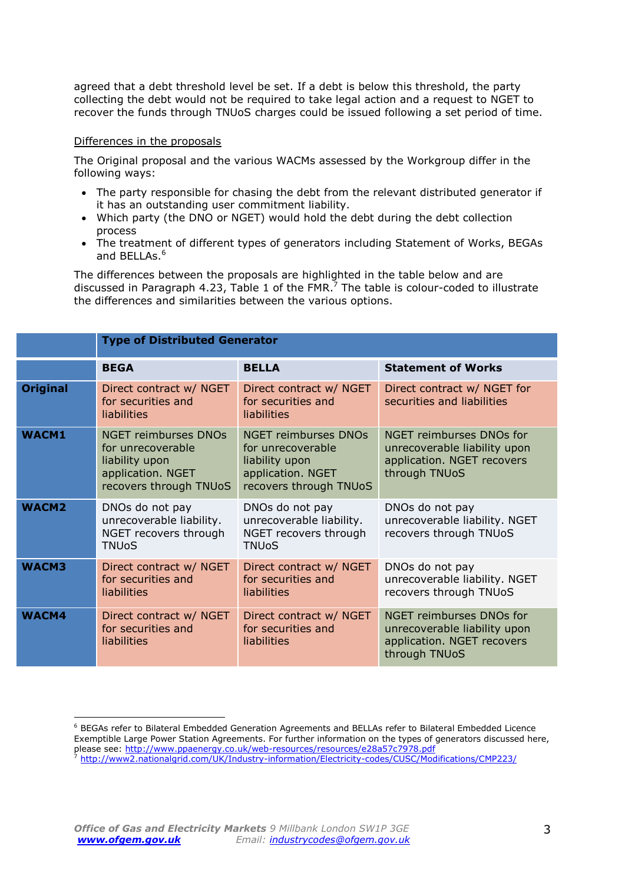agreed that a debt threshold level be set. If a debt is below this threshold, the party collecting the debt would not be required to take legal action and a request to NGET to recover the funds through TNUoS charges could be issued following a set period of time.

#### Differences in the proposals

 $\overline{a}$ 

The Original proposal and the various WACMs assessed by the Workgroup differ in the following ways:

- The party responsible for chasing the debt from the relevant distributed generator if it has an outstanding user commitment liability.
- Which party (the DNO or NGET) would hold the debt during the debt collection process
- The treatment of different types of generators including Statement of Works, BEGAs and BELLAs. 6

The differences between the proposals are highlighted in the table below and are discussed in Paragraph 4.23, Table 1 of the FMR.<sup>7</sup> The table is colour-coded to illustrate the differences and similarities between the various options.

|                 | <b>Type of Distributed Generator</b>                                                                              |                                                                                                                   |                                                                                                         |  |
|-----------------|-------------------------------------------------------------------------------------------------------------------|-------------------------------------------------------------------------------------------------------------------|---------------------------------------------------------------------------------------------------------|--|
|                 | <b>BEGA</b>                                                                                                       | <b>BELLA</b>                                                                                                      | <b>Statement of Works</b>                                                                               |  |
| <b>Original</b> | Direct contract w/ NGET<br>for securities and<br>liabilities                                                      | Direct contract w/ NGET<br>for securities and<br>liabilities                                                      | Direct contract w/ NGET for<br>securities and liabilities                                               |  |
| <b>WACM1</b>    | <b>NGET reimburses DNOs</b><br>for unrecoverable<br>liability upon<br>application. NGET<br>recovers through TNUoS | <b>NGET reimburses DNOs</b><br>for unrecoverable<br>liability upon<br>application. NGET<br>recovers through TNUoS | NGET reimburses DNOs for<br>unrecoverable liability upon<br>application. NGET recovers<br>through TNUoS |  |
| <b>WACM2</b>    | DNOs do not pay<br>unrecoverable liability.<br>NGET recovers through<br><b>TNUoS</b>                              | DNOs do not pay<br>unrecoverable liability.<br>NGET recovers through<br><b>TNUoS</b>                              | DNOs do not pay<br>unrecoverable liability. NGET<br>recovers through TNUoS                              |  |
| <b>WACM3</b>    | Direct contract w/ NGET<br>for securities and<br>liabilities                                                      | Direct contract w/ NGET<br>for securities and<br>liabilities                                                      | DNOs do not pay<br>unrecoverable liability. NGET<br>recovers through TNUoS                              |  |
| <b>WACM4</b>    | Direct contract w/ NGET<br>for securities and<br>liabilities                                                      | Direct contract w/ NGET<br>for securities and<br>liabilities                                                      | NGET reimburses DNOs for<br>unrecoverable liability upon<br>application. NGET recovers<br>through TNUoS |  |

<sup>6</sup> BEGAs refer to Bilateral Embedded Generation Agreements and BELLAs refer to Bilateral Embedded Licence Exemptible Large Power Station Agreements. For further information on the types of generators discussed here, please see: <u>http://www.ppaenergy.co.uk/web-resources/resources/e28a57c7978.pdf</u>

<sup>7</sup> <http://www2.nationalgrid.com/UK/Industry-information/Electricity-codes/CUSC/Modifications/CMP223/>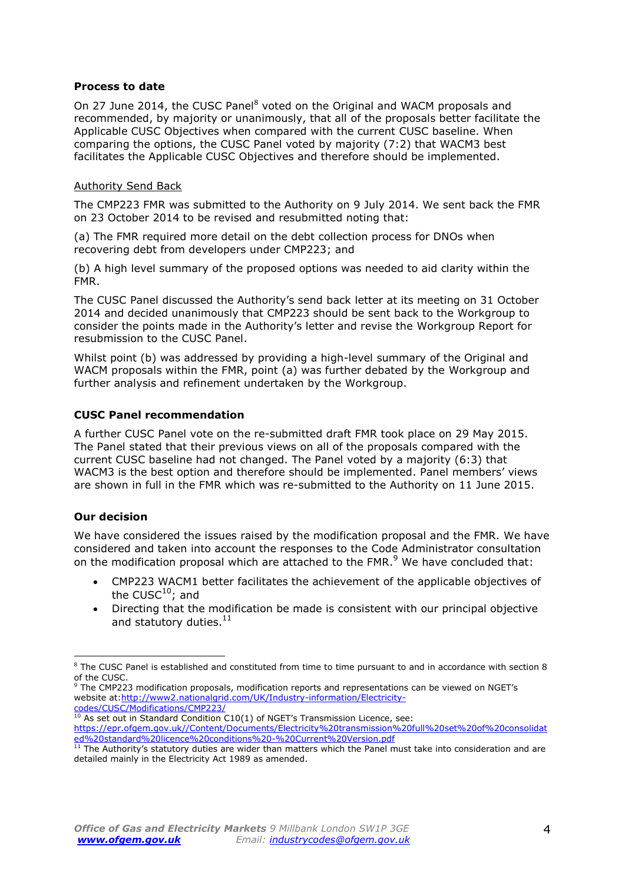## **Process to date**

On 27 June 2014, the CUSC Panel<sup>8</sup> voted on the Original and WACM proposals and recommended, by majority or unanimously, that all of the proposals better facilitate the Applicable CUSC Objectives when compared with the current CUSC baseline. When comparing the options, the CUSC Panel voted by majority (7:2) that WACM3 best facilitates the Applicable CUSC Objectives and therefore should be implemented.

## Authority Send Back

The CMP223 FMR was submitted to the Authority on 9 July 2014. We sent back the FMR on 23 October 2014 to be revised and resubmitted noting that:

(a) The FMR required more detail on the debt collection process for DNOs when recovering debt from developers under CMP223; and

(b) A high level summary of the proposed options was needed to aid clarity within the FMR.

The CUSC Panel discussed the Authority's send back letter at its meeting on 31 October 2014 and decided unanimously that CMP223 should be sent back to the Workgroup to consider the points made in the Authority's letter and revise the Workgroup Report for resubmission to the CUSC Panel.

Whilst point (b) was addressed by providing a high-level summary of the Original and WACM proposals within the FMR, point (a) was further debated by the Workgroup and further analysis and refinement undertaken by the Workgroup.

## **CUSC Panel recommendation**

A further CUSC Panel vote on the re-submitted draft FMR took place on 29 May 2015. The Panel stated that their previous views on all of the proposals compared with the current CUSC baseline had not changed. The Panel voted by a majority (6:3) that WACM3 is the best option and therefore should be implemented. Panel members' views are shown in full in the FMR which was re-submitted to the Authority on 11 June 2015.

## **Our decision**

 $\overline{a}$ 

We have considered the issues raised by the modification proposal and the FMR. We have considered and taken into account the responses to the Code Administrator consultation on the modification proposal which are attached to the FMR.<sup>9</sup> We have concluded that:

- CMP223 WACM1 better facilitates the achievement of the applicable objectives of the  $CUSC^{10}$ ; and
- Directing that the modification be made is consistent with our principal objective and statutory duties.<sup>11</sup>

- [codes/CUSC/Modifications/CMP223/](http://www2.nationalgrid.com/UK/Industry-information/Electricity-codes/CUSC/Modifications/CMP223/)
- <sup>10</sup> As set out in Standard Condition C10(1) of NGET's Transmission Licence, see: https://epr.ofgem.gov.uk//Content/Documents/Electricity%20transmission%20full%20set%20of%20consolidat ed%20standard%20licence%20conditions%20-%20Current%20Version.pdf

<sup>8</sup> The CUSC Panel is established and constituted from time to time pursuant to and in accordance with section 8 of the CUSC.

<sup>9</sup> The CMP223 modification proposals, modification reports and representations can be viewed on NGET's website at[:http://www2.nationalgrid.com/UK/Industry-information/Electricity-](http://www2.nationalgrid.com/UK/Industry-information/Electricity-codes/CUSC/Modifications/CMP223/)

 $11$  The Authority's statutory duties are wider than matters which the Panel must take into consideration and are detailed mainly in the Electricity Act 1989 as amended.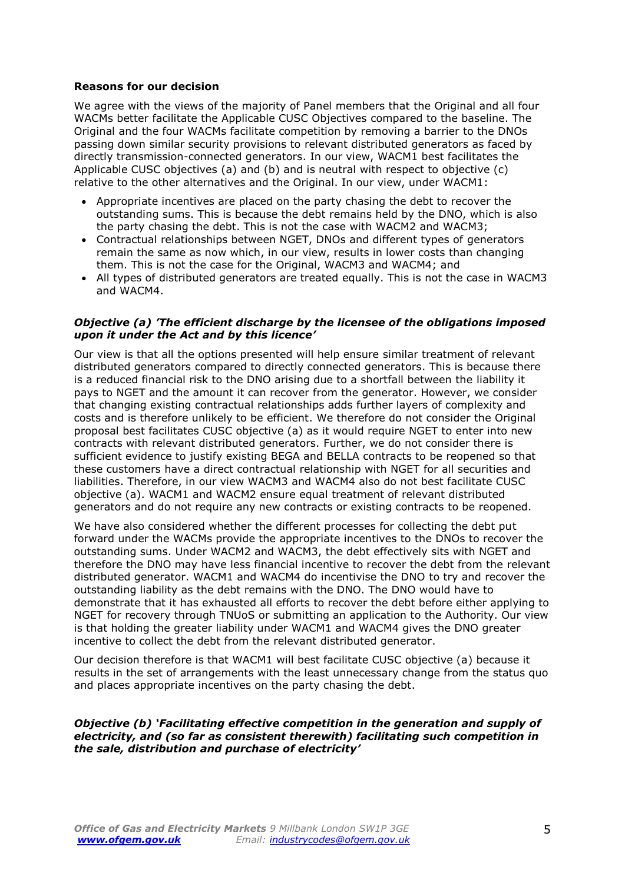### **Reasons for our decision**

We agree with the views of the majority of Panel members that the Original and all four WACMs better facilitate the Applicable CUSC Objectives compared to the baseline. The Original and the four WACMs facilitate competition by removing a barrier to the DNOs passing down similar security provisions to relevant distributed generators as faced by directly transmission-connected generators. In our view, WACM1 best facilitates the Applicable CUSC objectives (a) and (b) and is neutral with respect to objective (c) relative to the other alternatives and the Original. In our view, under WACM1:

- Appropriate incentives are placed on the party chasing the debt to recover the outstanding sums. This is because the debt remains held by the DNO, which is also the party chasing the debt. This is not the case with WACM2 and WACM3;
- Contractual relationships between NGET, DNOs and different types of generators remain the same as now which, in our view, results in lower costs than changing them. This is not the case for the Original, WACM3 and WACM4; and
- All types of distributed generators are treated equally. This is not the case in WACM3 and WACM4.

## *Objective (a) 'The efficient discharge by the licensee of the obligations imposed upon it under the Act and by this licence'*

Our view is that all the options presented will help ensure similar treatment of relevant distributed generators compared to directly connected generators. This is because there is a reduced financial risk to the DNO arising due to a shortfall between the liability it pays to NGET and the amount it can recover from the generator. However, we consider that changing existing contractual relationships adds further layers of complexity and costs and is therefore unlikely to be efficient. We therefore do not consider the Original proposal best facilitates CUSC objective (a) as it would require NGET to enter into new contracts with relevant distributed generators. Further, we do not consider there is sufficient evidence to justify existing BEGA and BELLA contracts to be reopened so that these customers have a direct contractual relationship with NGET for all securities and liabilities. Therefore, in our view WACM3 and WACM4 also do not best facilitate CUSC objective (a). WACM1 and WACM2 ensure equal treatment of relevant distributed generators and do not require any new contracts or existing contracts to be reopened.

We have also considered whether the different processes for collecting the debt put forward under the WACMs provide the appropriate incentives to the DNOs to recover the outstanding sums. Under WACM2 and WACM3, the debt effectively sits with NGET and therefore the DNO may have less financial incentive to recover the debt from the relevant distributed generator. WACM1 and WACM4 do incentivise the DNO to try and recover the outstanding liability as the debt remains with the DNO. The DNO would have to demonstrate that it has exhausted all efforts to recover the debt before either applying to NGET for recovery through TNUoS or submitting an application to the Authority. Our view is that holding the greater liability under WACM1 and WACM4 gives the DNO greater incentive to collect the debt from the relevant distributed generator.

Our decision therefore is that WACM1 will best facilitate CUSC objective (a) because it results in the set of arrangements with the least unnecessary change from the status quo and places appropriate incentives on the party chasing the debt.

*Objective (b) 'Facilitating effective competition in the generation and supply of electricity, and (so far as consistent therewith) facilitating such competition in the sale, distribution and purchase of electricity'*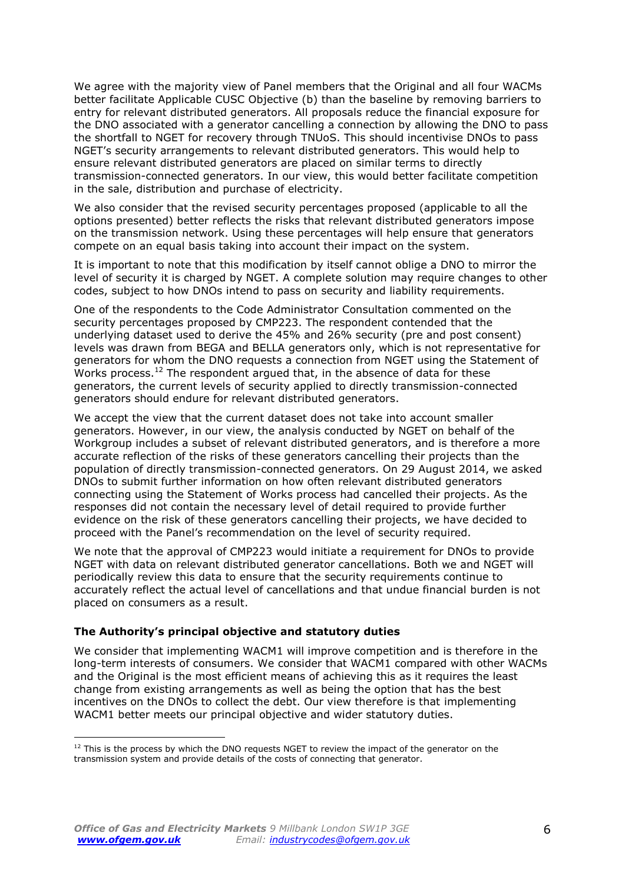We agree with the majority view of Panel members that the Original and all four WACMs better facilitate Applicable CUSC Objective (b) than the baseline by removing barriers to entry for relevant distributed generators. All proposals reduce the financial exposure for the DNO associated with a generator cancelling a connection by allowing the DNO to pass the shortfall to NGET for recovery through TNUoS. This should incentivise DNOs to pass NGET's security arrangements to relevant distributed generators. This would help to ensure relevant distributed generators are placed on similar terms to directly transmission-connected generators. In our view, this would better facilitate competition in the sale, distribution and purchase of electricity.

We also consider that the revised security percentages proposed (applicable to all the options presented) better reflects the risks that relevant distributed generators impose on the transmission network. Using these percentages will help ensure that generators compete on an equal basis taking into account their impact on the system.

It is important to note that this modification by itself cannot oblige a DNO to mirror the level of security it is charged by NGET. A complete solution may require changes to other codes, subject to how DNOs intend to pass on security and liability requirements.

One of the respondents to the Code Administrator Consultation commented on the security percentages proposed by CMP223. The respondent contended that the underlying dataset used to derive the 45% and 26% security (pre and post consent) levels was drawn from BEGA and BELLA generators only, which is not representative for generators for whom the DNO requests a connection from NGET using the Statement of Works process.<sup>12</sup> The respondent argued that, in the absence of data for these generators, the current levels of security applied to directly transmission-connected generators should endure for relevant distributed generators.

We accept the view that the current dataset does not take into account smaller generators. However, in our view, the analysis conducted by NGET on behalf of the Workgroup includes a subset of relevant distributed generators, and is therefore a more accurate reflection of the risks of these generators cancelling their projects than the population of directly transmission-connected generators. On 29 August 2014, we asked DNOs to submit further information on how often relevant distributed generators connecting using the Statement of Works process had cancelled their projects. As the responses did not contain the necessary level of detail required to provide further evidence on the risk of these generators cancelling their projects, we have decided to proceed with the Panel's recommendation on the level of security required.

We note that the approval of CMP223 would initiate a requirement for DNOs to provide NGET with data on relevant distributed generator cancellations. Both we and NGET will periodically review this data to ensure that the security requirements continue to accurately reflect the actual level of cancellations and that undue financial burden is not placed on consumers as a result.

## **The Authority's principal objective and statutory duties**

 $\overline{a}$ 

We consider that implementing WACM1 will improve competition and is therefore in the long-term interests of consumers. We consider that WACM1 compared with other WACMs and the Original is the most efficient means of achieving this as it requires the least change from existing arrangements as well as being the option that has the best incentives on the DNOs to collect the debt. Our view therefore is that implementing WACM1 better meets our principal objective and wider statutory duties.

 $12$  This is the process by which the DNO requests NGET to review the impact of the generator on the transmission system and provide details of the costs of connecting that generator.